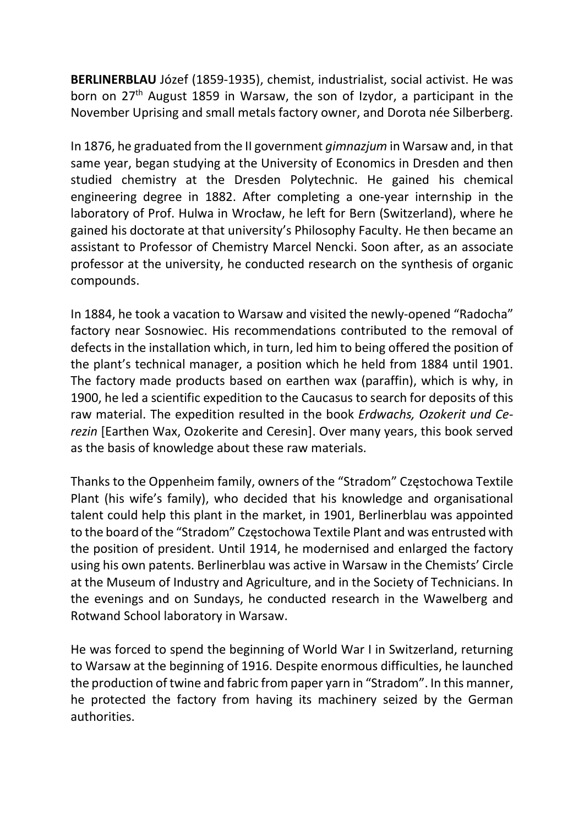BERLINERBLAU Józef (1859-1935), chemist, industrialist, social activist. He was born on 27<sup>th</sup> August 1859 in Warsaw, the son of Izydor, a participant in the November Uprising and small metals factory owner, and Dorota née Silberberg.

In 1876, he graduated from the II government gimnazjum in Warsaw and, in that same year, began studying at the University of Economics in Dresden and then studied chemistry at the Dresden Polytechnic. He gained his chemical engineering degree in 1882. After completing a one-year internship in the laboratory of Prof. Hulwa in Wrocław, he left for Bern (Switzerland), where he gained his doctorate at that university's Philosophy Faculty. He then became an assistant to Professor of Chemistry Marcel Nencki. Soon after, as an associate professor at the university, he conducted research on the synthesis of organic compounds.

In 1884, he took a vacation to Warsaw and visited the newly-opened "Radocha" factory near Sosnowiec. His recommendations contributed to the removal of defects in the installation which, in turn, led him to being offered the position of the plant's technical manager, a position which he held from 1884 until 1901. The factory made products based on earthen wax (paraffin), which is why, in 1900, he led a scientific expedition to the Caucasus to search for deposits of this raw material. The expedition resulted in the book Erdwachs, Ozokerit und Cerezin [Earthen Wax, Ozokerite and Ceresin]. Over many years, this book served as the basis of knowledge about these raw materials.

Thanks to the Oppenheim family, owners of the "Stradom" Częstochowa Textile Plant (his wife's family), who decided that his knowledge and organisational talent could help this plant in the market, in 1901, Berlinerblau was appointed to the board of the "Stradom" Częstochowa Textile Plant and was entrusted with the position of president. Until 1914, he modernised and enlarged the factory using his own patents. Berlinerblau was active in Warsaw in the Chemists' Circle at the Museum of Industry and Agriculture, and in the Society of Technicians. In the evenings and on Sundays, he conducted research in the Wawelberg and Rotwand School laboratory in Warsaw.

He was forced to spend the beginning of World War I in Switzerland, returning to Warsaw at the beginning of 1916. Despite enormous difficulties, he launched the production of twine and fabric from paper yarn in "Stradom". In this manner, he protected the factory from having its machinery seized by the German authorities.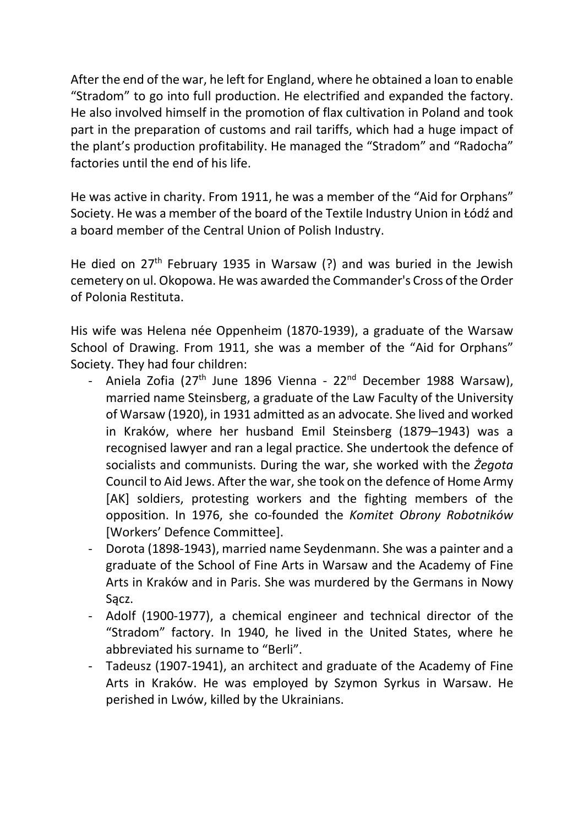After the end of the war, he left for England, where he obtained a loan to enable "Stradom" to go into full production. He electrified and expanded the factory. He also involved himself in the promotion of flax cultivation in Poland and took part in the preparation of customs and rail tariffs, which had a huge impact of the plant's production profitability. He managed the "Stradom" and "Radocha" factories until the end of his life.

He was active in charity. From 1911, he was a member of the "Aid for Orphans" Society. He was a member of the board of the Textile Industry Union in Łódź and a board member of the Central Union of Polish Industry.

He died on  $27<sup>th</sup>$  February 1935 in Warsaw (?) and was buried in the Jewish cemetery on ul. Okopowa. He was awarded the Commander's Cross of the Order of Polonia Restituta.

His wife was Helena née Oppenheim (1870-1939), a graduate of the Warsaw School of Drawing. From 1911, she was a member of the "Aid for Orphans" Society. They had four children:

- Aniela Zofia (27<sup>th</sup> June 1896 Vienna 22<sup>nd</sup> December 1988 Warsaw), married name Steinsberg, a graduate of the Law Faculty of the University of Warsaw (1920), in 1931 admitted as an advocate. She lived and worked in Kraków, where her husband Emil Steinsberg (1879–1943) was a recognised lawyer and ran a legal practice. She undertook the defence of socialists and communists. During the war, she worked with the Żegota Council to Aid Jews. After the war, she took on the defence of Home Army [AK] soldiers, protesting workers and the fighting members of the opposition. In 1976, she co-founded the Komitet Obrony Robotników [Workers' Defence Committee].
- Dorota (1898-1943), married name Seydenmann. She was a painter and a graduate of the School of Fine Arts in Warsaw and the Academy of Fine Arts in Kraków and in Paris. She was murdered by the Germans in Nowy Sacz.
- Adolf (1900-1977), a chemical engineer and technical director of the "Stradom" factory. In 1940, he lived in the United States, where he abbreviated his surname to "Berli".
- Tadeusz (1907-1941), an architect and graduate of the Academy of Fine Arts in Kraków. He was employed by Szymon Syrkus in Warsaw. He perished in Lwów, killed by the Ukrainians.